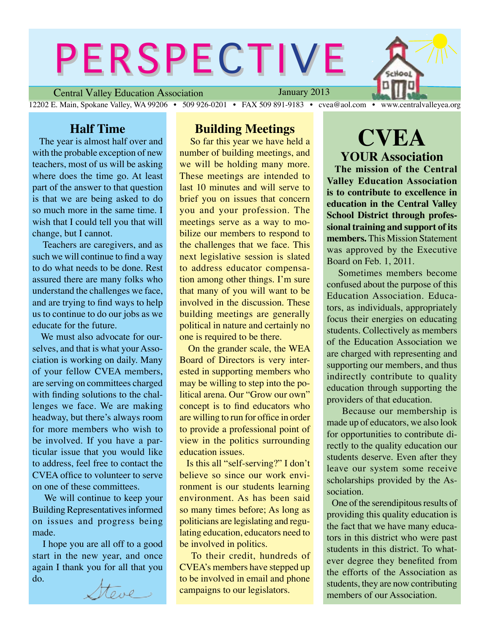# PERSPECTIVE

Central Valley Education Association 12202 E. Main, Spokane Valley, WA 99206 • 509 926-0201 • FAX 509 891-9183 • cvea@aol.com • www.centralvalleyea.org

January 2013

#### **Half Time**

 The year is almost half over and with the probable exception of new teachers, most of us will be asking where does the time go. At least part of the answer to that question is that we are being asked to do so much more in the same time. I wish that I could tell you that will change, but I cannot.

 Teachers are caregivers, and as such we will continue to find a way to do what needs to be done. Rest assured there are many folks who understand the challenges we face, and are trying to find ways to help us to continue to do our jobs as we educate for the future.

We must also advocate for ourselves, and that is what your Association is working on daily. Many of your fellow CVEA members, are serving on committees charged with finding solutions to the challenges we face. We are making headway, but there's always room for more members who wish to be involved. If you have a particular issue that you would like to address, feel free to contact the CVEA office to volunteer to serve on one of these committees.

 We will continue to keep your Building Representatives informed on issues and progress being made.

 I hope you are all off to a good start in the new year, and once again I thank you for all that you do.

ttone ,

#### **Building Meetings**

 So far this year we have held a number of building meetings, and we will be holding many more. These meetings are intended to last 10 minutes and will serve to brief you on issues that concern you and your profession. The meetings serve as a way to mobilize our members to respond to the challenges that we face. This next legislative session is slated to address educator compensation among other things. I'm sure that many of you will want to be involved in the discussion. These building meetings are generally political in nature and certainly no one is required to be there.

 On the grander scale, the WEA Board of Directors is very interested in supporting members who may be willing to step into the political arena. Our "Grow our own" concept is to find educators who are willing to run for office in order to provide a professional point of view in the politics surrounding education issues.

 Is this all "self-serving?" I don't believe so since our work environment is our students learning environment. As has been said so many times before; As long as politicians are legislating and regulating education, educators need to be involved in politics.

 To their credit, hundreds of CVEA's members have stepped up to be involved in email and phone campaigns to our legislators.

# **CVEA YOUR Association**

 **The mission of the Central Valley Education Association is to contribute to excellence in education in the Central Valley School District through professional training and support of its members.** This Mission Statement was approved by the Executive Board on Feb. 1, 2011.

 Sometimes members become confused about the purpose of this Education Association. Educators, as individuals, appropriately focus their energies on educating students. Collectively as members of the Education Association we are charged with representing and supporting our members, and thus indirectly contribute to quality education through supporting the providers of that education.

 Because our membership is made up of educators, we also look for opportunities to contribute directly to the quality education our students deserve. Even after they leave our system some receive scholarships provided by the Association.

 One of the serendipitous results of providing this quality education is the fact that we have many educators in this district who were past students in this district. To whatever degree they benefited from the efforts of the Association as students, they are now contributing members of our Association.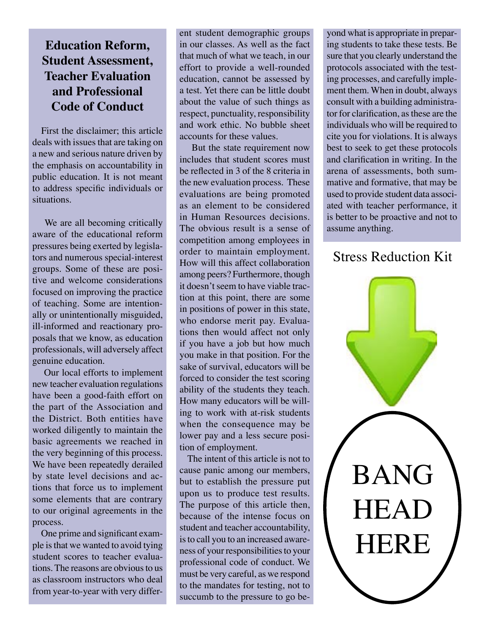# **Education Reform, Student Assessment, Teacher Evaluation and Professional Code of Conduct**

 First the disclaimer; this article deals with issues that are taking on a new and serious nature driven by the emphasis on accountability in public education. It is not meant to address specific individuals or situations.

We are all becoming critically aware of the educational reform pressures being exerted by legislators and numerous special-interest groups. Some of these are positive and welcome considerations focused on improving the practice of teaching. Some are intentionally or unintentionally misguided, ill-informed and reactionary proposals that we know, as education professionals, will adversely affect genuine education.

 Our local efforts to implement new teacher evaluation regulations have been a good-faith effort on the part of the Association and the District. Both entities have worked diligently to maintain the basic agreements we reached in the very beginning of this process. We have been repeatedly derailed by state level decisions and actions that force us to implement some elements that are contrary to our original agreements in the process.

 One prime and significant example is that we wanted to avoid tying student scores to teacher evaluations. The reasons are obvious to us as classroom instructors who deal from year-to-year with very different student demographic groups in our classes. As well as the fact that much of what we teach, in our effort to provide a well-rounded education, cannot be assessed by a test. Yet there can be little doubt about the value of such things as respect, punctuality, responsibility and work ethic. No bubble sheet accounts for these values.

 But the state requirement now includes that student scores must be reflected in 3 of the 8 criteria in the new evaluation process. These evaluations are being promoted as an element to be considered in Human Resources decisions. The obvious result is a sense of competition among employees in order to maintain employment. How will this affect collaboration among peers? Furthermore, though it doesn't seem to have viable traction at this point, there are some in positions of power in this state, who endorse merit pay. Evaluations then would affect not only if you have a job but how much you make in that position. For the sake of survival, educators will be forced to consider the test scoring ability of the students they teach. How many educators will be willing to work with at-risk students when the consequence may be lower pay and a less secure position of employment.

 The intent of this article is not to cause panic among our members, but to establish the pressure put upon us to produce test results. The purpose of this article then, because of the intense focus on student and teacher accountability, is to call you to an increased awareness of your responsibilities to your professional code of conduct. We must be very careful, as we respond to the mandates for testing, not to succumb to the pressure to go beyond what is appropriate in preparing students to take these tests. Be sure that you clearly understand the protocols associated with the testing processes, and carefully implement them. When in doubt, always consult with a building administrator for clarification, as these are the individuals who will be required to cite you for violations. It is always best to seek to get these protocols and clarification in writing. In the arena of assessments, both summative and formative, that may be used to provide student data associated with teacher performance, it is better to be proactive and not to assume anything.

## Stress Reduction Kit

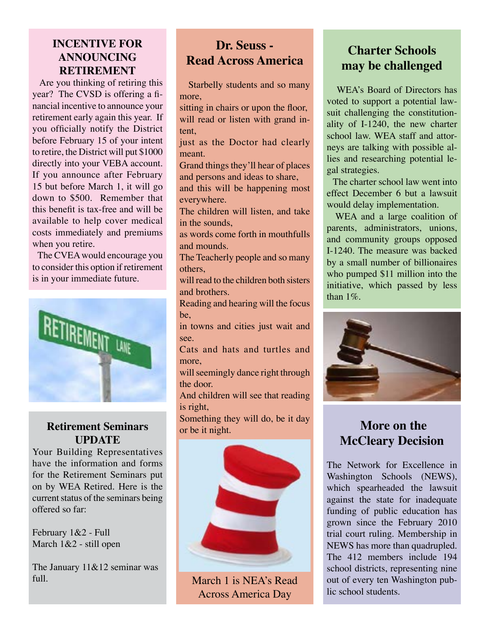### **INCENTIVE FOR ANNOUNCING RETIREMENT**

 Are you thinking of retiring this year? The CVSD is offering a financial incentive to announce your retirement early again this year. If you officially notify the District before February 15 of your intent to retire, the District will put \$1000 directly into your VEBA account. If you announce after February 15 but before March 1, it will go down to \$500. Remember that this benefit is tax-free and will be available to help cover medical costs immediately and premiums when you retire.

 The CVEA would encourage you to consider this option if retirement is in your immediate future.



#### **Retirement Seminars UPDATE**

Your Building Representatives have the information and forms for the Retirement Seminars put on by WEA Retired. Here is the current status of the seminars being offered so far:

February 1&2 - Full March 1&2 - still open

The January 11&12 seminar was full.

# **Dr. Seuss - Read Across America**

 Starbelly students and so many more,

sitting in chairs or upon the floor, will read or listen with grand intent,

just as the Doctor had clearly meant.

Grand things they'll hear of places and persons and ideas to share,

and this will be happening most everywhere.

The children will listen, and take in the sounds

as words come forth in mouthfulls and mounds.

The Teacherly people and so many others,

will read to the children both sisters and brothers.

Reading and hearing will the focus be,

in towns and cities just wait and see.

Cats and hats and turtles and more,

will seemingly dance right through the door.

And children will see that reading is right,

Something they will do, be it day or be it night.



March 1 is NEA's Read Across America Day

# **Charter Schools may be challenged**

 WEA's Board of Directors has voted to support a potential lawsuit challenging the constitutionality of I-1240, the new charter school law. WEA staff and attorneys are talking with possible allies and researching potential legal strategies.

 The charter school law went into effect December 6 but a lawsuit would delay implementation.

 WEA and a large coalition of parents, administrators, unions, and community groups opposed I-1240. The measure was backed by a small number of billionaires who pumped \$11 million into the initiative, which passed by less than  $1\%$ .



# **More on the McCleary Decision**

The Network for Excellence in Washington Schools (NEWS), which spearheaded the lawsuit against the state for inadequate funding of public education has grown since the February 2010 trial court ruling. Membership in NEWS has more than quadrupled. The 412 members include 194 school districts, representing nine out of every ten Washington public school students.